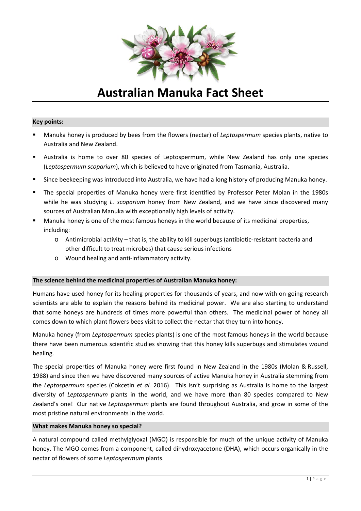

# **Australian Manuka Fact Sheet**

## **Key points:**

- Manuka honey is produced by bees from the flowers (nectar) of *Leptospermum* species plants, native to Australia and New Zealand.
- Australia is home to over 80 species of Leptospermum, while New Zealand has only one species (*Leptospermum scoparium*), which is believed to have originated from Tasmania, Australia.
- Since beekeeping was introduced into Australia, we have had a long history of producing Manuka honey.
- The special properties of Manuka honey were first identified by Professor Peter Molan in the 1980s while he was studying *L. scoparium* honey from New Zealand, and we have since discovered many sources of Australian Manuka with exceptionally high levels of activity.
- Manuka honey is one of the most famous honeys in the world because of its medicinal properties, including:
	- o Antimicrobial activity that is, the ability to kill superbugs (antibiotic‐resistant bacteria and other difficult to treat microbes) that cause serious infections
	- o Wound healing and anti‐inflammatory activity.

## **The science behind the medicinal properties of Australian Manuka honey:**

Humans have used honey for its healing properties for thousands of years, and now with on‐going research scientists are able to explain the reasons behind its medicinal power. We are also starting to understand that some honeys are hundreds of times more powerful than others. The medicinal power of honey all comes down to which plant flowers bees visit to collect the nectar that they turn into honey.

Manuka honey (from *Leptospermum* species plants) is one of the most famous honeys in the world because there have been numerous scientific studies showing that this honey kills superbugs and stimulates wound healing.

The special properties of Manuka honey were first found in New Zealand in the 1980s (Molan & Russell, 1988) and since then we have discovered many sources of active Manuka honey in Australia stemming from the *Leptospermum* species (Cokcetin *et al.* 2016). This isn't surprising as Australia is home to the largest diversity of *Leptospermum* plants in the world, and we have more than 80 species compared to New Zealand's one! Our native *Leptospermum* plants are found throughout Australia, and grow in some of the most pristine natural environments in the world.

## **What makes Manuka honey so special?**

A natural compound called methylglyoxal (MGO) is responsible for much of the unique activity of Manuka honey. The MGO comes from a component, called dihydroxyacetone (DHA), which occurs organically in the nectar of flowers of some *Leptospermum* plants.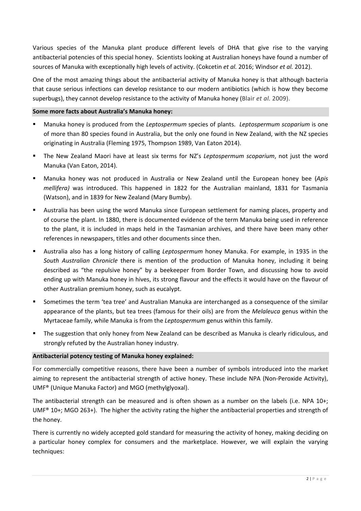Various species of the Manuka plant produce different levels of DHA that give rise to the varying antibacterial potencies of this special honey. Scientists looking at Australian honeys have found a number of sources of Manuka with exceptionally high levels of activity. (Cokcetin *et al.* 2016; Windsor *et al.* 2012).

One of the most amazing things about the antibacterial activity of Manuka honey is that although bacteria that cause serious infections can develop resistance to our modern antibiotics (which is how they become superbugs), they cannot develop resistance to the activity of Manuka honey (Blair *et al.* 2009).

## **Some more facts about Australia's Manuka honey:**

- Manuka honey is produced from the *Leptospermum* species of plants. *Leptospermum scoparium* is one of more than 80 species found in Australia, but the only one found in New Zealand, with the NZ species originating in Australia (Fleming 1975, Thompson 1989, Van Eaton 2014).
- The New Zealand Maori have at least six terms for NZ's *Leptospermum scoparium*, not just the word Manuka (Van Eaton, 2014).
- Manuka honey was not produced in Australia or New Zealand until the European honey bee (*Apis mellifera)* was introduced. This happened in 1822 for the Australian mainland, 1831 for Tasmania (Watson), and in 1839 for New Zealand (Mary Bumby).
- Australia has been using the word Manuka since European settlement for naming places, property and of course the plant. In 1880, there is documented evidence of the term Manuka being used in reference to the plant, it is included in maps held in the Tasmanian archives, and there have been many other references in newspapers, titles and other documents since then.
- Australia also has a long history of calling *Leptospermum* honey Manuka. For example, in 1935 in the *South Australian Chronicle* there is mention of the production of Manuka honey, including it being described as "the repulsive honey" by a beekeeper from Border Town, and discussing how to avoid ending up with Manuka honey in hives, its strong flavour and the effects it would have on the flavour of other Australian premium honey, such as eucalypt.
- Sometimes the term 'tea tree' and Australian Manuka are interchanged as a consequence of the similar appearance of the plants, but tea trees (famous for their oils) are from the *Melaleuca* genus within the Myrtaceae family, while Manuka is from the *Leptospermum* genus within this family.
- The suggestion that only honey from New Zealand can be described as Manuka is clearly ridiculous, and strongly refuted by the Australian honey industry.

## **Antibacterial potency testing of Manuka honey explained:**

For commercially competitive reasons, there have been a number of symbols introduced into the market aiming to represent the antibacterial strength of active honey. These include NPA (Non-Peroxide Activity), UMF® (Unique Manuka Factor) and MGO (methylglyoxal).

The antibacterial strength can be measured and is often shown as a number on the labels (i.e. NPA 10+; UMF® 10+; MGO 263+). The higher the activity rating the higher the antibacterial properties and strength of the honey.

There is currently no widely accepted gold standard for measuring the activity of honey, making deciding on a particular honey complex for consumers and the marketplace. However, we will explain the varying techniques: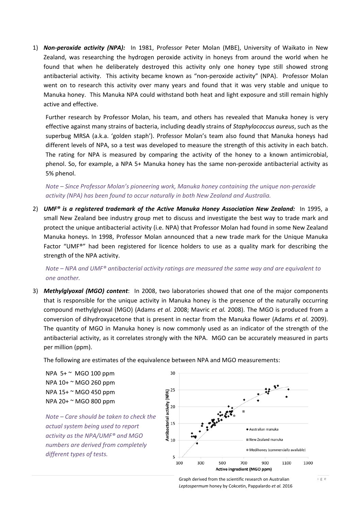1) **Non-peroxide activity (NPA):** In 1981, Professor Peter Molan (MBE), University of Waikato in New Zealand, was researching the hydrogen peroxide activity in honeys from around the world when he found that when he deliberately destroyed this activity only one honey type still showed strong antibacterial activity. This activity became known as "non-peroxide activity" (NPA). Professor Molan went on to research this activity over many years and found that it was very stable and unique to Manuka honey. This Manuka NPA could withstand both heat and light exposure and still remain highly active and effective.

Further research by Professor Molan, his team, and others has revealed that Manuka honey is very effective against many strains of bacteria, including deadly strains of *Staphylococcus aureus*, such as the superbug MRSA (a.k.a. 'golden staph'). Professor Molan's team also found that Manuka honeys had different levels of NPA, so a test was developed to measure the strength of this activity in each batch. The rating for NPA is measured by comparing the activity of the honey to a known antimicrobial, phenol. So, for example, a NPA 5+ Manuka honey has the same non‐peroxide antibacterial activity as 5% phenol.

*Note – Since Professor Molan's pioneering work, Manuka honey containing the unique non‐peroxide activity (NPA) has been found to occur naturally in both New Zealand and Australia.*

2) *UMF® is a registered trademark of the Active Manuka Honey Association New Zealand:* In 1995, a small New Zealand bee industry group met to discuss and investigate the best way to trade mark and protect the unique antibacterial activity (i.e. NPA) that Professor Molan had found in some New Zealand Manuka honeys. In 1998, Professor Molan announced that a new trade mark for the Unique Manuka Factor "UMF®" had been registered for licence holders to use as a quality mark for describing the strength of the NPA activity.

*Note – NPA and UMF® antibacterial activity ratings are measured the same way and are equivalent to one another.*

3) *Methylglyoxal (MGO) content*: In 2008, two laboratories showed that one of the major components that is responsible for the unique activity in Manuka honey is the presence of the naturally occurring compound methylglyoxal (MGO) (Adams *et al.* 2008; Mavric *et al.* 2008). The MGO is produced from a conversion of dihydroxyacetone that is present in nectar from the Manuka flower (Adams *et al.* 2009). The quantity of MGO in Manuka honey is now commonly used as an indicator of the strength of the antibacterial activity, as it correlates strongly with the NPA. MGO can be accurately measured in parts per million (ppm).

The following are estimates of the equivalence between NPA and MGO measurements:

NPA  $5+$   $\sim$  MGO 100 ppm NPA 10+ ~ MGO 260 ppm NPA 15+ ~ MGO 450 ppm NPA 20+ ~ MGO 800 ppm

*Note – Care should be taken to check the actual system being used to report activity as the NPA/UMF® and MGO numbers are derived from completely different types of tests.* 



Graph derived from the scientific research on Australian *Leptospermum* honey by Cokcetin, Pappalardo *et al.* 2016